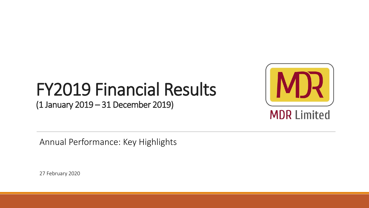# FY2019 Financial Results

(1 January 2019 – 31 December 2019)



**MDR Limited** 

Annual Performance: Key Highlights

27 February 2020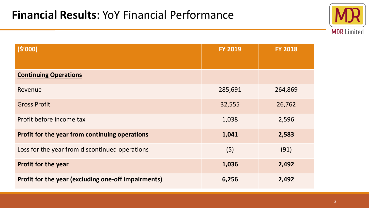

| (5'000)                                             | <b>FY 2019</b> | <b>FY 2018</b> |
|-----------------------------------------------------|----------------|----------------|
|                                                     |                |                |
| <b>Continuing Operations</b>                        |                |                |
| Revenue                                             | 285,691        | 264,869        |
| <b>Gross Profit</b>                                 | 32,555         | 26,762         |
| Profit before income tax                            | 1,038          | 2,596          |
| Profit for the year from continuing operations      | 1,041          | 2,583          |
| Loss for the year from discontinued operations      | (5)            | (91)           |
| <b>Profit for the year</b>                          | 1,036          | 2,492          |
| Profit for the year (excluding one-off impairments) | 6,256          | 2,492          |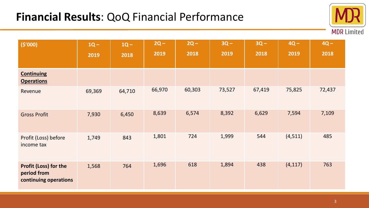## **Financial Results**: QoQ Financial Performance



| (5'000)                                                              | $1Q -$<br>2019 | $1Q -$<br>2018 | $2Q -$<br>2019 | $2Q -$<br>2018 | $3Q -$<br>2019 | $3Q -$<br>2018 | $4Q -$<br>2019 | $4Q -$<br>2018 |
|----------------------------------------------------------------------|----------------|----------------|----------------|----------------|----------------|----------------|----------------|----------------|
| <b>Continuing</b><br><b>Operations</b>                               |                |                |                |                |                |                |                |                |
| Revenue                                                              | 69,369         | 64,710         | 66,970         | 60,303         | 73,527         | 67,419         | 75,825         | 72,437         |
| <b>Gross Profit</b>                                                  | 7,930          | 6,450          | 8,639          | 6,574          | 8,392          | 6,629          | 7,594          | 7,109          |
| Profit (Loss) before<br>income tax                                   | 1,749          | 843            | 1,801          | 724            | 1,999          | 544            | (4,511)        | 485            |
| <b>Profit (Loss) for the</b><br>period from<br>continuing operations | 1,568          | 764            | 1,696          | 618            | 1,894          | 438            | (4, 117)       | 763            |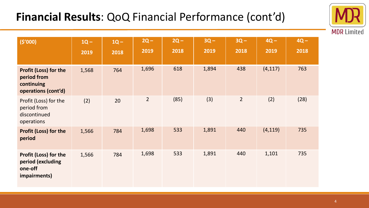# **Financial Results**: QoQ Financial Performance (cont'd)



| (5'000)                                                                      | $1Q -$<br>2019 | $1Q -$<br>2018 | $2Q -$<br>2019 | $2Q -$<br>2018 | $3Q -$<br>2019 | $3Q -$<br>2018 | $4Q -$<br>2019 | $4Q -$<br>2018 |
|------------------------------------------------------------------------------|----------------|----------------|----------------|----------------|----------------|----------------|----------------|----------------|
| Profit (Loss) for the<br>period from<br>continuing<br>operations (cont'd)    | 1,568          | 764            | 1,696          | 618            | 1,894          | 438            | (4, 117)       | 763            |
| Profit (Loss) for the<br>period from<br>discontinued<br>operations           | (2)            | 20             | $\overline{2}$ | (85)           | (3)            | $\overline{2}$ | (2)            | (28)           |
| <b>Profit (Loss) for the</b><br>period                                       | 1,566          | 784            | 1,698          | 533            | 1,891          | 440            | (4, 119)       | 735            |
| <b>Profit (Loss) for the</b><br>period (excluding<br>one-off<br>impairments) | 1,566          | 784            | 1,698          | 533            | 1,891          | 440            | 1,101          | 735            |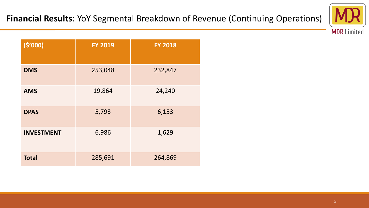

| (5'000)           | <b>FY 2019</b> | <b>FY 2018</b> |
|-------------------|----------------|----------------|
| <b>DMS</b>        | 253,048        | 232,847        |
| <b>AMS</b>        | 19,864         | 24,240         |
| <b>DPAS</b>       | 5,793          | 6,153          |
| <b>INVESTMENT</b> | 6,986          | 1,629          |
| <b>Total</b>      | 285,691        | 264,869        |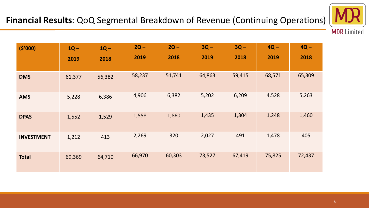

**MDR Limited** 

| (5'000)           | $1Q -$ | $1Q -$ | $2Q -$ | $2Q -$ | $3Q -$ | $3Q -$ | $4Q -$ | $4Q -$ |
|-------------------|--------|--------|--------|--------|--------|--------|--------|--------|
|                   | 2019   | 2018   | 2019   | 2018   | 2019   | 2018   | 2019   | 2018   |
| <b>DMS</b>        | 61,377 | 56,382 | 58,237 | 51,741 | 64,863 | 59,415 | 68,571 | 65,309 |
| <b>AMS</b>        | 5,228  | 6,386  | 4,906  | 6,382  | 5,202  | 6,209  | 4,528  | 5,263  |
| <b>DPAS</b>       | 1,552  | 1,529  | 1,558  | 1,860  | 1,435  | 1,304  | 1,248  | 1,460  |
| <b>INVESTMENT</b> | 1,212  | 413    | 2,269  | 320    | 2,027  | 491    | 1,478  | 405    |
| <b>Total</b>      | 69,369 | 64,710 | 66,970 | 60,303 | 73,527 | 67,419 | 75,825 | 72,437 |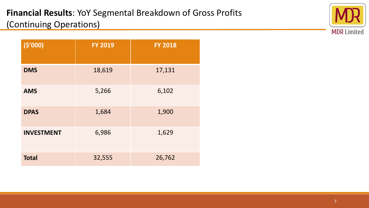#### **Financial Results**: YoY Segmental Breakdown of Gross Profits (Continuing Operations)



| (5'000)           | <b>FY 2019</b> | <b>FY 2018</b> |
|-------------------|----------------|----------------|
| <b>DMS</b>        | 18,619         | 17,131         |
| <b>AMS</b>        | 5,266          | 6,102          |
| <b>DPAS</b>       | 1,684          | 1,900          |
| <b>INVESTMENT</b> | 6,986          | 1,629          |
| <b>Total</b>      | 32,555         | 26,762         |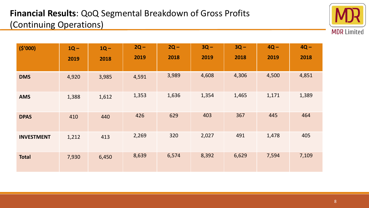#### **Financial Results**: QoQ Segmental Breakdown of Gross Profits (Continuing Operations)



| (5'000)           | $1Q -$<br>2019 | $1Q -$<br>2018 | $2Q -$<br>2019 | $2Q -$<br>2018 | $3Q -$<br>2019 | $3Q -$<br>2018 | $4Q -$<br>2019 | $4Q -$<br>2018 |
|-------------------|----------------|----------------|----------------|----------------|----------------|----------------|----------------|----------------|
| <b>DMS</b>        | 4,920          | 3,985          | 4,591          | 3,989          | 4,608          | 4,306          | 4,500          | 4,851          |
| <b>AMS</b>        | 1,388          | 1,612          | 1,353          | 1,636          | 1,354          | 1,465          | 1,171          | 1,389          |
| <b>DPAS</b>       | 410            | 440            | 426            | 629            | 403            | 367            | 445            | 464            |
| <b>INVESTMENT</b> | 1,212          | 413            | 2,269          | 320            | 2,027          | 491            | 1,478          | 405            |
| <b>Total</b>      | 7,930          | 6,450          | 8,639          | 6,574          | 8,392          | 6,629          | 7,594          | 7,109          |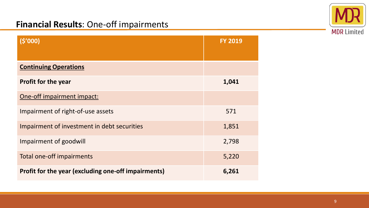

#### **Financial Results**: One-off impairments

| (5'000)                                             | <b>FY 2019</b> |
|-----------------------------------------------------|----------------|
| <b>Continuing Operations</b>                        |                |
| <b>Profit for the year</b>                          | 1,041          |
| One-off impairment impact:                          |                |
| Impairment of right-of-use assets                   | 571            |
| Impairment of investment in debt securities         | 1,851          |
| Impairment of goodwill                              | 2,798          |
| Total one-off impairments                           | 5,220          |
| Profit for the year (excluding one-off impairments) | 6,261          |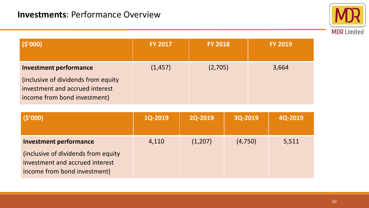

| (S'000)                                                                                                                                  | <b>FY 2017</b> | <b>FY 2018</b> | <b>FY 2019</b> |
|------------------------------------------------------------------------------------------------------------------------------------------|----------------|----------------|----------------|
| <b>Investment performance</b><br>(inclusive of dividends from equity)<br>investment and accrued interest<br>income from bond investment) | (1, 457)       | (2,705)        | 3,664          |

| (\$'000)                                                                                                | <b>1Q-2019</b> | <b>2Q-2019</b> | 3Q-2019 | 4Q-2019 |
|---------------------------------------------------------------------------------------------------------|----------------|----------------|---------|---------|
| <b>Investment performance</b>                                                                           | 4,110          | (1,207)        | (4,750) | 5,511   |
| (inclusive of dividends from equity)<br>investment and accrued interest<br>income from bond investment) |                |                |         |         |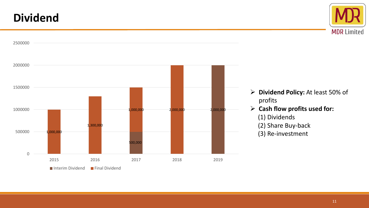### **Dividend**





- **Dividend Policy:** At least 50% of profits
- **Cash flow profits used for:**

(1) Dividends

- (2) Share Buy-back
- (3) Re-investment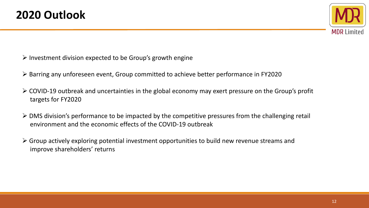

- $\triangleright$  Investment division expected to be Group's growth engine
- Barring any unforeseen event, Group committed to achieve better performance in FY2020
- COVID-19 outbreak and uncertainties in the global economy may exert pressure on the Group's profit targets for FY2020
- $\triangleright$  DMS division's performance to be impacted by the competitive pressures from the challenging retail environment and the economic effects of the COVID-19 outbreak
- $\triangleright$  Group actively exploring potential investment opportunities to build new revenue streams and improve shareholders' returns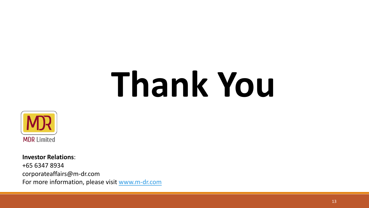# **Thank You**



**Investor Relations**: +65 6347 8934 corporateaffairs@m-dr.com For more information, please visit [www.m-dr.com](http://www.m-dr.com/)